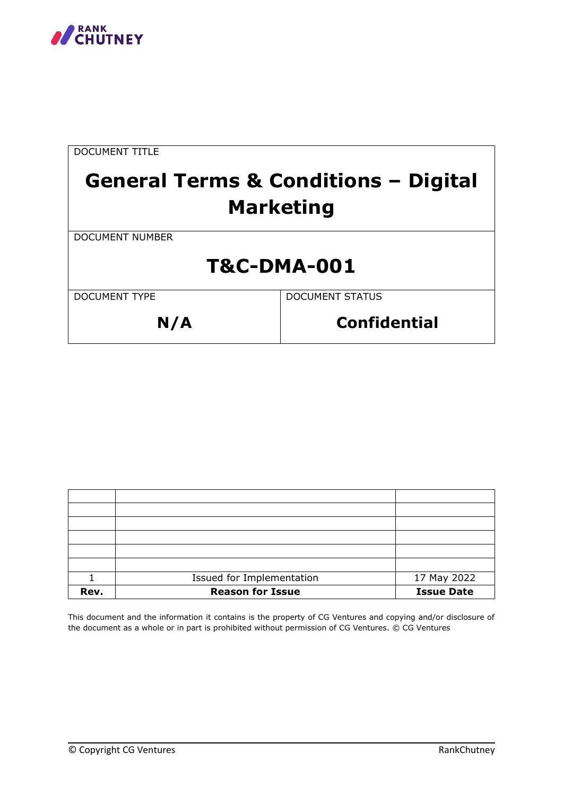

| <b>DOCUMENT TITLE</b> | <b>General Terms &amp; Conditions - Digital</b><br><b>Marketing</b> |
|-----------------------|---------------------------------------------------------------------|
| DOCUMENT NUMBER       |                                                                     |
|                       | <b>T&amp;C-DMA-001</b>                                              |
| <b>DOCUMENT TYPE</b>  | <b>DOCUMENT STATUS</b>                                              |
| N/A                   | <b>Confidential</b>                                                 |

|      | Issued for Implementation | 17 May 2022       |
|------|---------------------------|-------------------|
| Rev. | <b>Reason for Issue</b>   | <b>Issue Date</b> |

This document and the information it contains is the property of CG Ventures and copying and/or disclosure of the document as a whole or in part is prohibited without permission of CG Ventures. © CG Ventures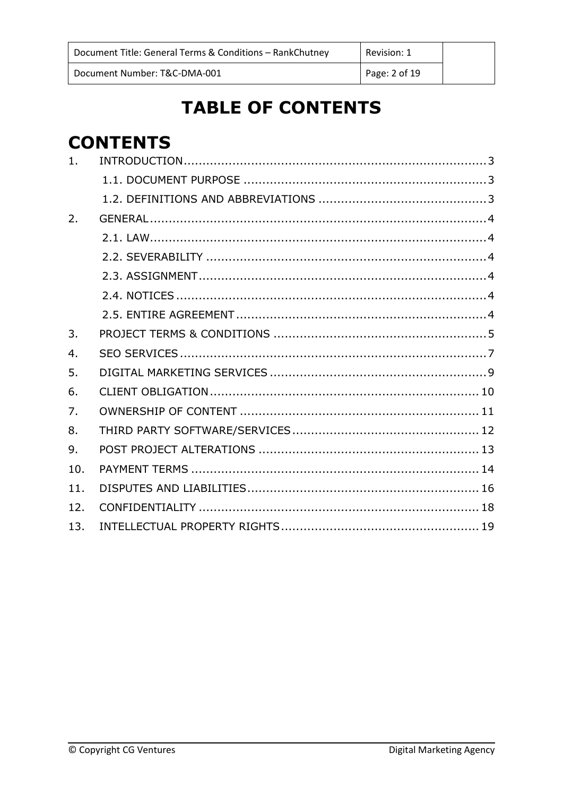| Document Title: General Terms & Conditions – RankChutney | Revision: 1   |
|----------------------------------------------------------|---------------|
| Document Number: T&C-DMA-001                             | Page: 2 of 19 |

# **TABLE OF CONTENTS**

# **CONTENTS**

| 1.               |  |
|------------------|--|
|                  |  |
|                  |  |
| 2.               |  |
|                  |  |
|                  |  |
|                  |  |
|                  |  |
|                  |  |
| 3.               |  |
| $\overline{4}$ . |  |
| 5.               |  |
| 6.               |  |
| 7.               |  |
| 8.               |  |
| 9.               |  |
| 10.              |  |
| 11.              |  |
| 12.              |  |
| 13 <sub>1</sub>  |  |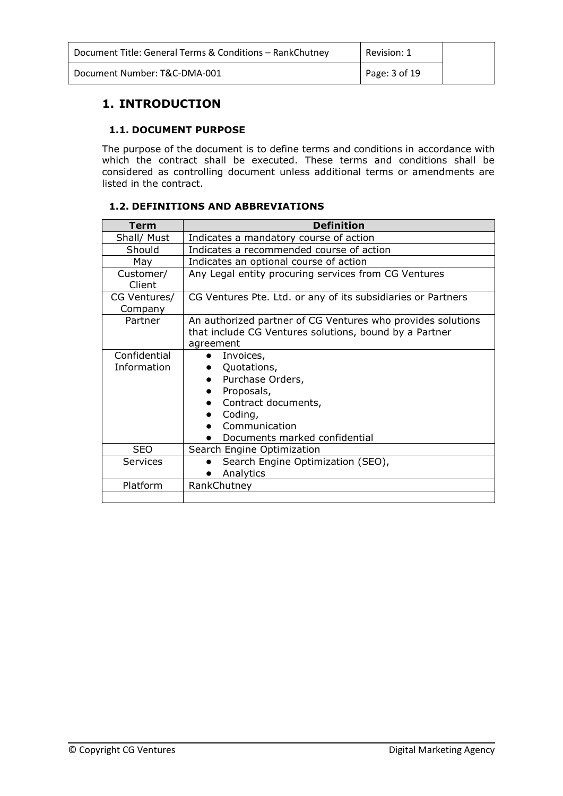| Document Title: General Terms & Conditions - RankChutney | Revision: 1   |
|----------------------------------------------------------|---------------|
| Document Number: T&C-DMA-001                             | Page: 3 of 19 |

## <span id="page-2-0"></span>**1. INTRODUCTION**

#### **1.1. DOCUMENT PURPOSE**

<span id="page-2-1"></span>The purpose of the document is to define terms and conditions in accordance with which the contract shall be executed. These terms and conditions shall be considered as controlling document unless additional terms or amendments are listed in the contract.

#### **1.2. DEFINITIONS AND ABBREVIATIONS**

<span id="page-2-2"></span>

| <b>Term</b>                 | <b>Definition</b>                                                                                                                                                                     |
|-----------------------------|---------------------------------------------------------------------------------------------------------------------------------------------------------------------------------------|
| Shall/ Must                 | Indicates a mandatory course of action                                                                                                                                                |
| Should                      | Indicates a recommended course of action                                                                                                                                              |
| May                         | Indicates an optional course of action                                                                                                                                                |
| Customer/<br>Client         | Any Legal entity procuring services from CG Ventures                                                                                                                                  |
| CG Ventures/<br>Company     | CG Ventures Pte. Ltd. or any of its subsidiaries or Partners                                                                                                                          |
| Partner                     | An authorized partner of CG Ventures who provides solutions<br>that include CG Ventures solutions, bound by a Partner<br>agreement                                                    |
| Confidential<br>Information | Invoices,<br>$\bullet$<br>Quotations,<br>Purchase Orders,<br>$\bullet$<br>Proposals,<br>$\bullet$<br>Contract documents,<br>Coding,<br>Communication<br>Documents marked confidential |
| <b>SEO</b>                  | Search Engine Optimization                                                                                                                                                            |
| <b>Services</b>             | Search Engine Optimization (SEO),<br>$\bullet$<br>Analytics                                                                                                                           |
| Platform                    | RankChutney                                                                                                                                                                           |
|                             |                                                                                                                                                                                       |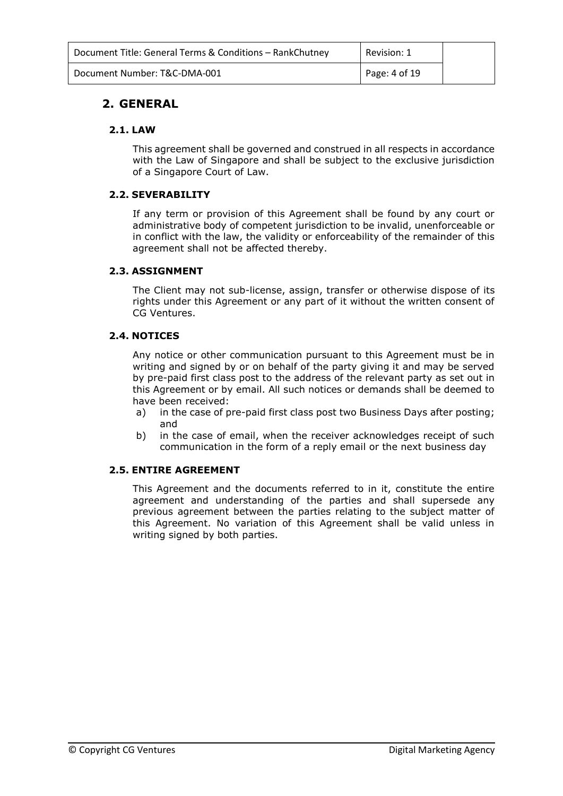| Document Title: General Terms & Conditions – RankChutney | Revision: 1   |
|----------------------------------------------------------|---------------|
| Document Number: T&C-DMA-001                             | Page: 4 of 19 |

#### <span id="page-3-0"></span>**2. GENERAL**

#### <span id="page-3-1"></span>**2.1. LAW**

This agreement shall be governed and construed in all respects in accordance with the Law of Singapore and shall be subject to the exclusive jurisdiction of a Singapore Court of Law.

#### <span id="page-3-2"></span>**2.2. SEVERABILITY**

If any term or provision of this Agreement shall be found by any court or administrative body of competent jurisdiction to be invalid, unenforceable or in conflict with the law, the validity or enforceability of the remainder of this agreement shall not be affected thereby.

#### <span id="page-3-3"></span>**2.3. ASSIGNMENT**

The Client may not sub-license, assign, transfer or otherwise dispose of its rights under this Agreement or any part of it without the written consent of CG Ventures.

#### <span id="page-3-4"></span>**2.4. NOTICES**

Any notice or other communication pursuant to this Agreement must be in writing and signed by or on behalf of the party giving it and may be served by pre-paid first class post to the address of the relevant party as set out in this Agreement or by email. All such notices or demands shall be deemed to have been received:

- a) in the case of pre-paid first class post two Business Days after posting; and
- b) in the case of email, when the receiver acknowledges receipt of such communication in the form of a reply email or the next business day

#### <span id="page-3-5"></span>**2.5. ENTIRE AGREEMENT**

This Agreement and the documents referred to in it, constitute the entire agreement and understanding of the parties and shall supersede any previous agreement between the parties relating to the subject matter of this Agreement. No variation of this Agreement shall be valid unless in writing signed by both parties.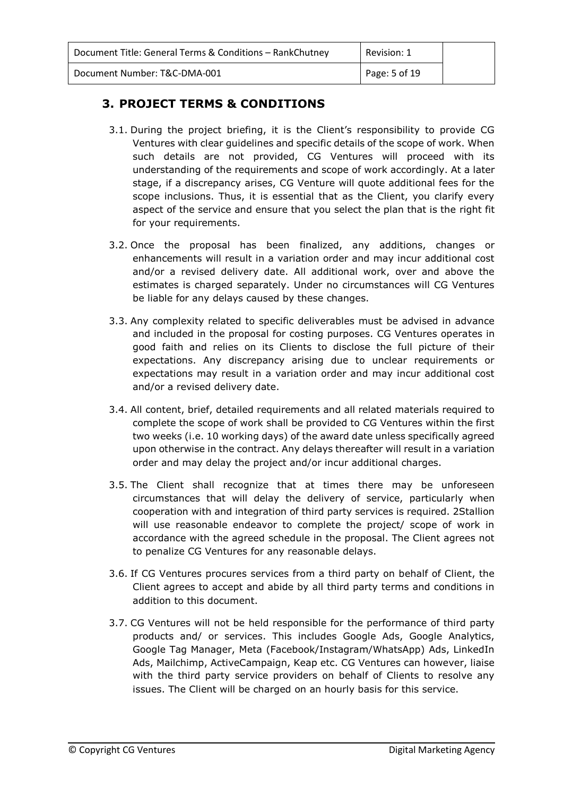| Document Title: General Terms & Conditions - RankChutney | Revision: 1   |
|----------------------------------------------------------|---------------|
| Document Number: T&C-DMA-001                             | Page: 5 of 19 |

## <span id="page-4-0"></span>**3. PROJECT TERMS & CONDITIONS**

- 3.1. During the project briefing, it is the Client's responsibility to provide CG Ventures with clear guidelines and specific details of the scope of work. When such details are not provided, CG Ventures will proceed with its understanding of the requirements and scope of work accordingly. At a later stage, if a discrepancy arises, CG Venture will quote additional fees for the scope inclusions. Thus, it is essential that as the Client, you clarify every aspect of the service and ensure that you select the plan that is the right fit for your requirements.
- 3.2. Once the proposal has been finalized, any additions, changes or enhancements will result in a variation order and may incur additional cost and/or a revised delivery date. All additional work, over and above the estimates is charged separately. Under no circumstances will CG Ventures be liable for any delays caused by these changes.
- 3.3. Any complexity related to specific deliverables must be advised in advance and included in the proposal for costing purposes. CG Ventures operates in good faith and relies on its Clients to disclose the full picture of their expectations. Any discrepancy arising due to unclear requirements or expectations may result in a variation order and may incur additional cost and/or a revised delivery date.
- 3.4. All content, brief, detailed requirements and all related materials required to complete the scope of work shall be provided to CG Ventures within the first two weeks (i.e. 10 working days) of the award date unless specifically agreed upon otherwise in the contract. Any delays thereafter will result in a variation order and may delay the project and/or incur additional charges.
- 3.5. The Client shall recognize that at times there may be unforeseen circumstances that will delay the delivery of service, particularly when cooperation with and integration of third party services is required. 2Stallion will use reasonable endeavor to complete the project/ scope of work in accordance with the agreed schedule in the proposal. The Client agrees not to penalize CG Ventures for any reasonable delays.
- 3.6. If CG Ventures procures services from a third party on behalf of Client, the Client agrees to accept and abide by all third party terms and conditions in addition to this document.
- 3.7. CG Ventures will not be held responsible for the performance of third party products and/ or services. This includes Google Ads, Google Analytics, Google Tag Manager, Meta (Facebook/Instagram/WhatsApp) Ads, LinkedIn Ads, Mailchimp, ActiveCampaign, Keap etc. CG Ventures can however, liaise with the third party service providers on behalf of Clients to resolve any issues. The Client will be charged on an hourly basis for this service.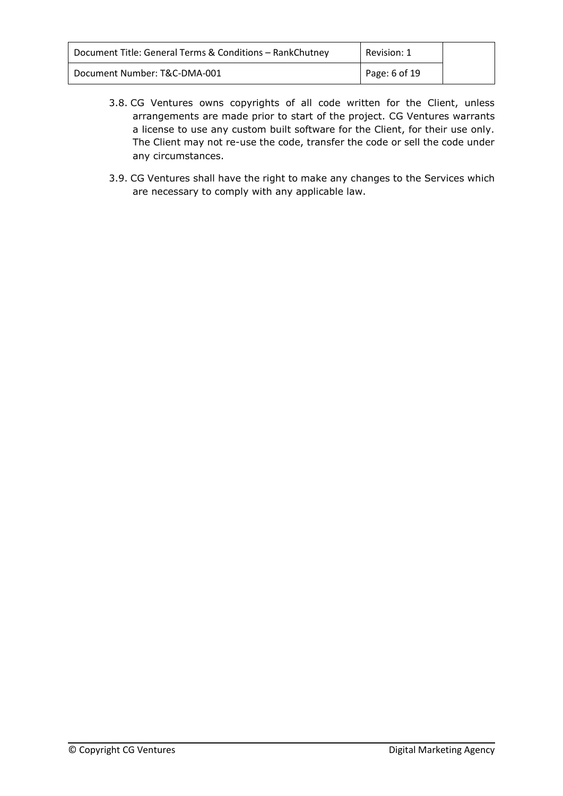- 3.8. CG Ventures owns copyrights of all code written for the Client, unless arrangements are made prior to start of the project. CG Ventures warrants a license to use any custom built software for the Client, for their use only. The Client may not re-use the code, transfer the code or sell the code under any circumstances.
- 3.9. CG Ventures shall have the right to make any changes to the Services which are necessary to comply with any applicable law.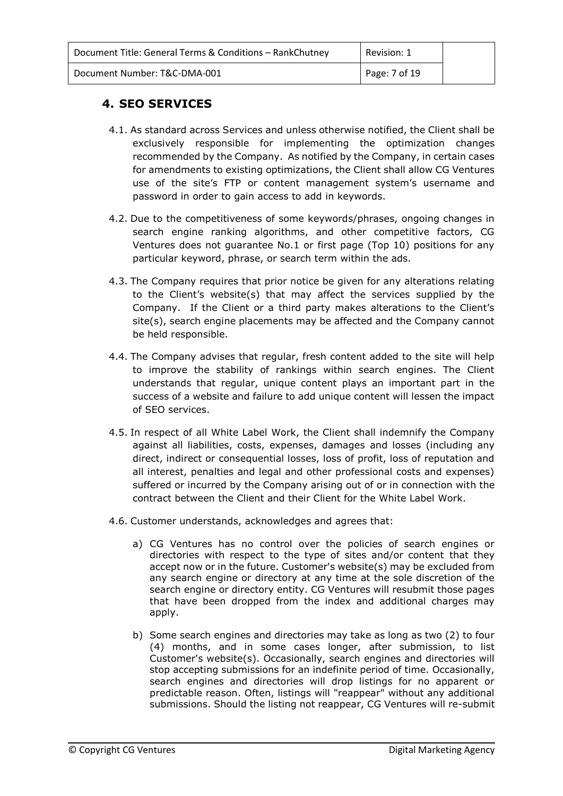| Document Title: General Terms & Conditions – RankChutney | Revision: 1   |
|----------------------------------------------------------|---------------|
| Document Number: T&C-DMA-001                             | Page: 7 of 19 |

## <span id="page-6-0"></span>**4. SEO SERVICES**

- 4.1. As standard across Services and unless otherwise notified, the Client shall be exclusively responsible for implementing the optimization changes recommended by the Company. As notified by the Company, in certain cases for amendments to existing optimizations, the Client shall allow CG Ventures use of the site's FTP or content management system's username and password in order to gain access to add in keywords.
- 4.2. Due to the competitiveness of some keywords/phrases, ongoing changes in search engine ranking algorithms, and other competitive factors, CG Ventures does not guarantee No.1 or first page (Top 10) positions for any particular keyword, phrase, or search term within the ads.
- 4.3. The Company requires that prior notice be given for any alterations relating to the Client's website(s) that may affect the services supplied by the Company. If the Client or a third party makes alterations to the Client's site(s), search engine placements may be affected and the Company cannot be held responsible.
- 4.4. The Company advises that regular, fresh content added to the site will help to improve the stability of rankings within search engines. The Client understands that regular, unique content plays an important part in the success of a website and failure to add unique content will lessen the impact of SEO services.
- 4.5. In respect of all White Label Work, the Client shall indemnify the Company against all liabilities, costs, expenses, damages and losses (including any direct, indirect or consequential losses, loss of profit, loss of reputation and all interest, penalties and legal and other professional costs and expenses) suffered or incurred by the Company arising out of or in connection with the contract between the Client and their Client for the White Label Work.
- 4.6. Customer understands, acknowledges and agrees that:
	- a) CG Ventures has no control over the policies of search engines or directories with respect to the type of sites and/or content that they accept now or in the future. Customer's website(s) may be excluded from any search engine or directory at any time at the sole discretion of the search engine or directory entity. CG Ventures will resubmit those pages that have been dropped from the index and additional charges may apply.
	- b) Some search engines and directories may take as long as two (2) to four (4) months, and in some cases longer, after submission, to list Customer's website(s). Occasionally, search engines and directories will stop accepting submissions for an indefinite period of time. Occasionally, search engines and directories will drop listings for no apparent or predictable reason. Often, listings will "reappear" without any additional submissions. Should the listing not reappear, CG Ventures will re-submit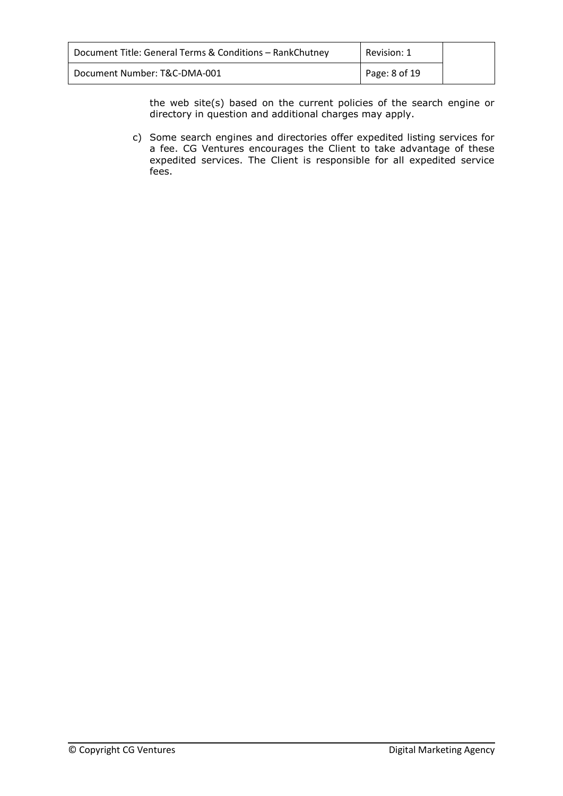the web site(s) based on the current policies of the search engine or directory in question and additional charges may apply.

c) Some search engines and directories offer expedited listing services for a fee. CG Ventures encourages the Client to take advantage of these expedited services. The Client is responsible for all expedited service fees.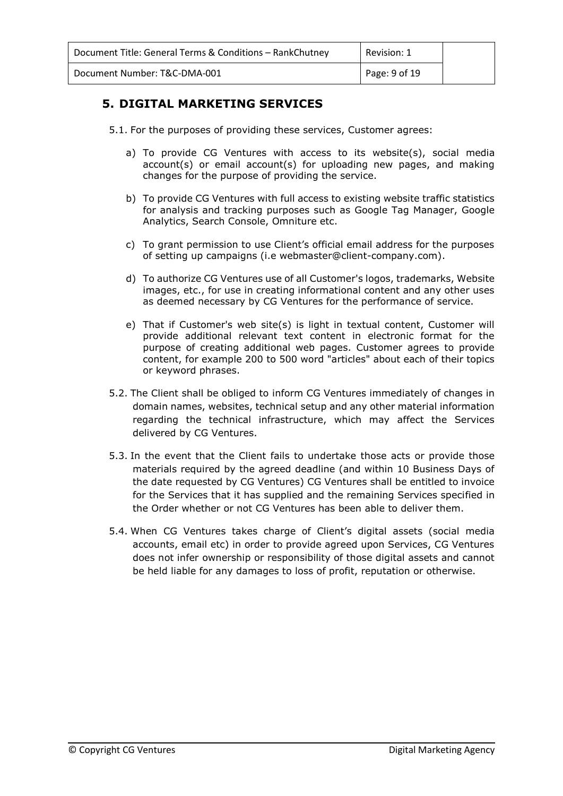| Document Title: General Terms & Conditions – RankChutney | Revision: 1   |
|----------------------------------------------------------|---------------|
| Document Number: T&C-DMA-001                             | Page: 9 of 19 |

#### <span id="page-8-0"></span>**5. DIGITAL MARKETING SERVICES**

5.1. For the purposes of providing these services, Customer agrees:

- a) To provide CG Ventures with access to its website(s), social media account(s) or email account(s) for uploading new pages, and making changes for the purpose of providing the service.
- b) To provide CG Ventures with full access to existing website traffic statistics for analysis and tracking purposes such as Google Tag Manager, Google Analytics, Search Console, Omniture etc.
- c) To grant permission to use Client's official email address for the purposes of setting up campaigns (i.e webmaster@client-company.com).
- d) To authorize CG Ventures use of all Customer's logos, trademarks, Website images, etc., for use in creating informational content and any other uses as deemed necessary by CG Ventures for the performance of service.
- e) That if Customer's web site(s) is light in textual content, Customer will provide additional relevant text content in electronic format for the purpose of creating additional web pages. Customer agrees to provide content, for example 200 to 500 word "articles" about each of their topics or keyword phrases.
- 5.2. The Client shall be obliged to inform CG Ventures immediately of changes in domain names, websites, technical setup and any other material information regarding the technical infrastructure, which may affect the Services delivered by CG Ventures.
- 5.3. In the event that the Client fails to undertake those acts or provide those materials required by the agreed deadline (and within 10 Business Days of the date requested by CG Ventures) CG Ventures shall be entitled to invoice for the Services that it has supplied and the remaining Services specified in the Order whether or not CG Ventures has been able to deliver them.
- 5.4. When CG Ventures takes charge of Client's digital assets (social media accounts, email etc) in order to provide agreed upon Services, CG Ventures does not infer ownership or responsibility of those digital assets and cannot be held liable for any damages to loss of profit, reputation or otherwise.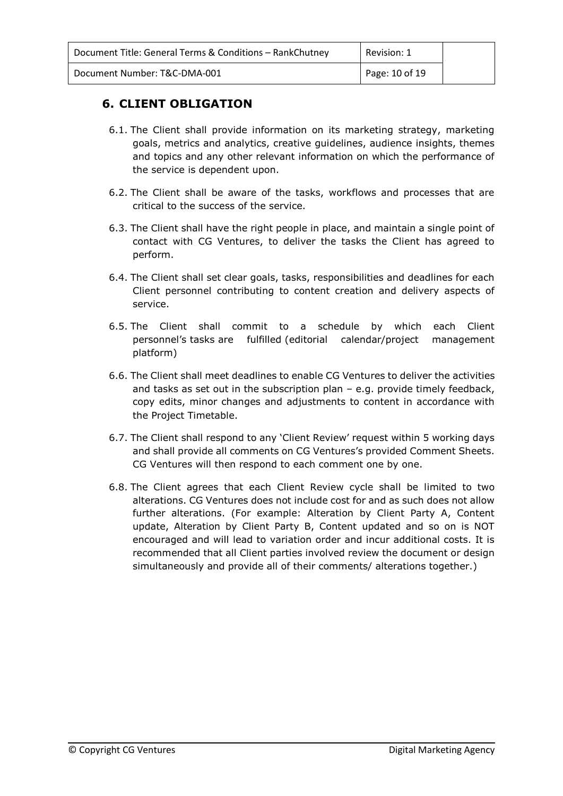| Document Title: General Terms & Conditions - RankChutney | Revision: 1    |
|----------------------------------------------------------|----------------|
| Document Number: T&C-DMA-001                             | Page: 10 of 19 |

## <span id="page-9-0"></span>**6. CLIENT OBLIGATION**

- 6.1. The Client shall provide information on its marketing strategy, marketing goals, metrics and analytics, creative guidelines, audience insights, themes and topics and any other relevant information on which the performance of the service is dependent upon.
- 6.2. The Client shall be aware of the tasks, workflows and processes that are critical to the success of the service.
- 6.3. The Client shall have the right people in place, and maintain a single point of contact with CG Ventures, to deliver the tasks the Client has agreed to perform.
- 6.4. The Client shall set clear goals, tasks, responsibilities and deadlines for each Client personnel contributing to content creation and delivery aspects of service.
- 6.5. The Client shall commit to a schedule by which each Client personnel's tasks are fulfilled (editorial calendar/project management platform)
- 6.6. The Client shall meet deadlines to enable CG Ventures to deliver the activities and tasks as set out in the subscription plan  $-$  e.g. provide timely feedback, copy edits, minor changes and adjustments to content in accordance with the Project Timetable.
- 6.7. The Client shall respond to any 'Client Review' request within 5 working days and shall provide all comments on CG Ventures's provided Comment Sheets. CG Ventures will then respond to each comment one by one.
- 6.8. The Client agrees that each Client Review cycle shall be limited to two alterations. CG Ventures does not include cost for and as such does not allow further alterations. (For example: Alteration by Client Party A, Content update, Alteration by Client Party B, Content updated and so on is NOT encouraged and will lead to variation order and incur additional costs. It is recommended that all Client parties involved review the document or design simultaneously and provide all of their comments/ alterations together.)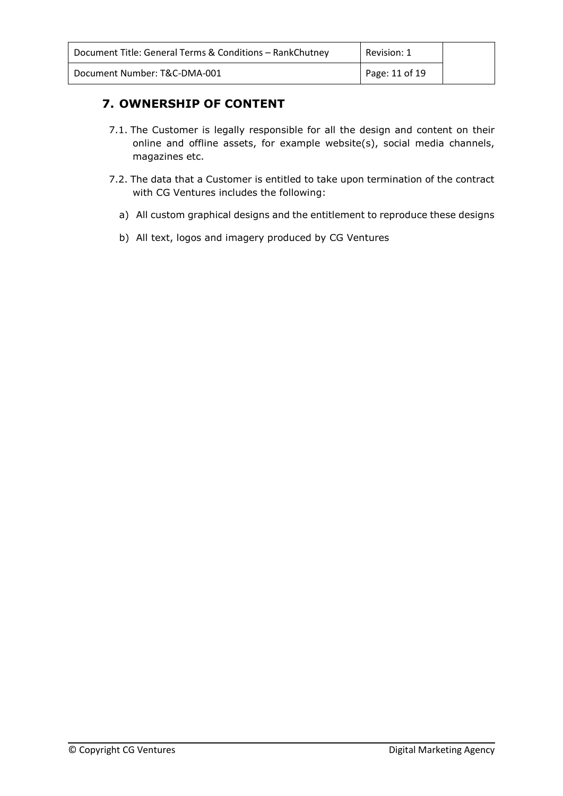| Document Title: General Terms & Conditions - RankChutney | Revision: 1    |
|----------------------------------------------------------|----------------|
| Document Number: T&C-DMA-001                             | Page: 11 of 19 |

## <span id="page-10-0"></span>**7. OWNERSHIP OF CONTENT**

- 7.1. The Customer is legally responsible for all the design and content on their online and offline assets, for example website(s), social media channels, magazines etc.
- 7.2. The data that a Customer is entitled to take upon termination of the contract with CG Ventures includes the following:
	- a) All custom graphical designs and the entitlement to reproduce these designs
	- b) All text, logos and imagery produced by CG Ventures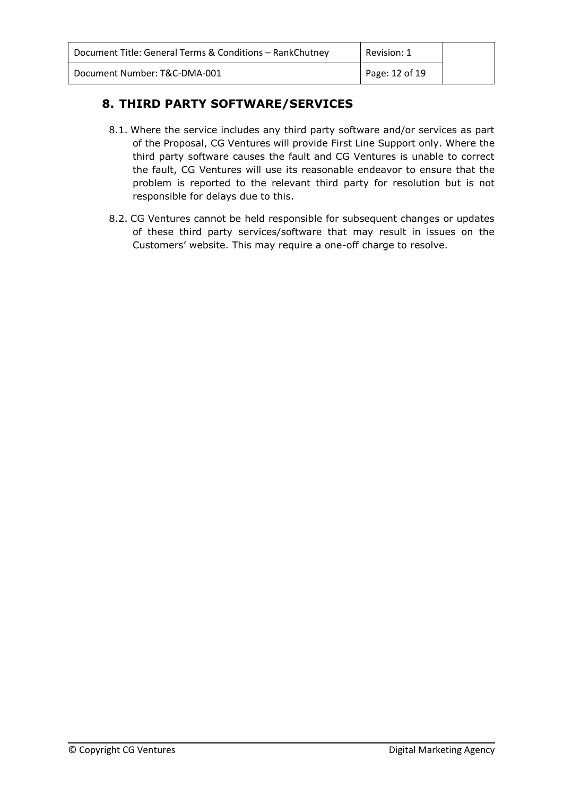| Document Title: General Terms & Conditions - RankChutney | Revision: 1    |
|----------------------------------------------------------|----------------|
| Document Number: T&C-DMA-001                             | Page: 12 of 19 |

## <span id="page-11-0"></span>**8. THIRD PARTY SOFTWARE/SERVICES**

- 8.1. Where the service includes any third party software and/or services as part of the Proposal, CG Ventures will provide First Line Support only. Where the third party software causes the fault and CG Ventures is unable to correct the fault, CG Ventures will use its reasonable endeavor to ensure that the problem is reported to the relevant third party for resolution but is not responsible for delays due to this.
- 8.2. CG Ventures cannot be held responsible for subsequent changes or updates of these third party services/software that may result in issues on the Customers' website. This may require a one-off charge to resolve.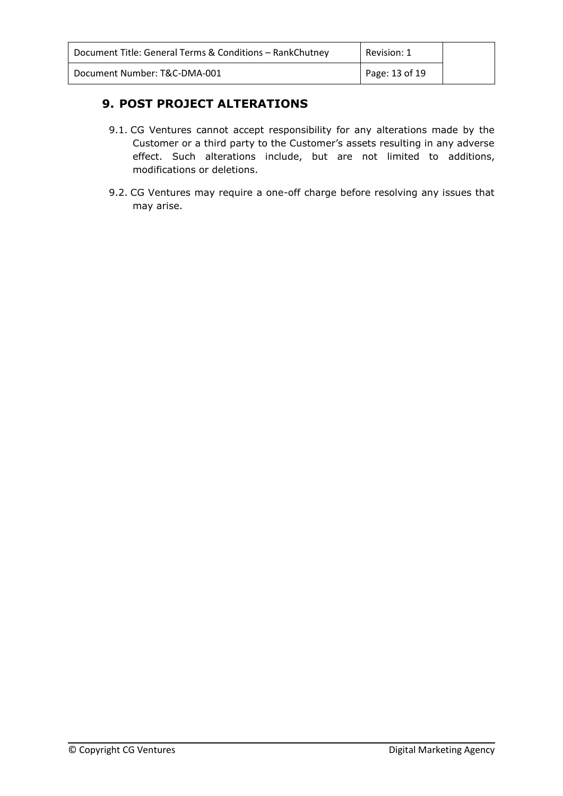| Document Title: General Terms & Conditions - RankChutney | Revision: 1    |
|----------------------------------------------------------|----------------|
| Document Number: T&C-DMA-001                             | Page: 13 of 19 |

# <span id="page-12-0"></span>**9. POST PROJECT ALTERATIONS**

- 9.1. CG Ventures cannot accept responsibility for any alterations made by the Customer or a third party to the Customer's assets resulting in any adverse effect. Such alterations include, but are not limited to additions, modifications or deletions.
- 9.2. CG Ventures may require a one-off charge before resolving any issues that may arise.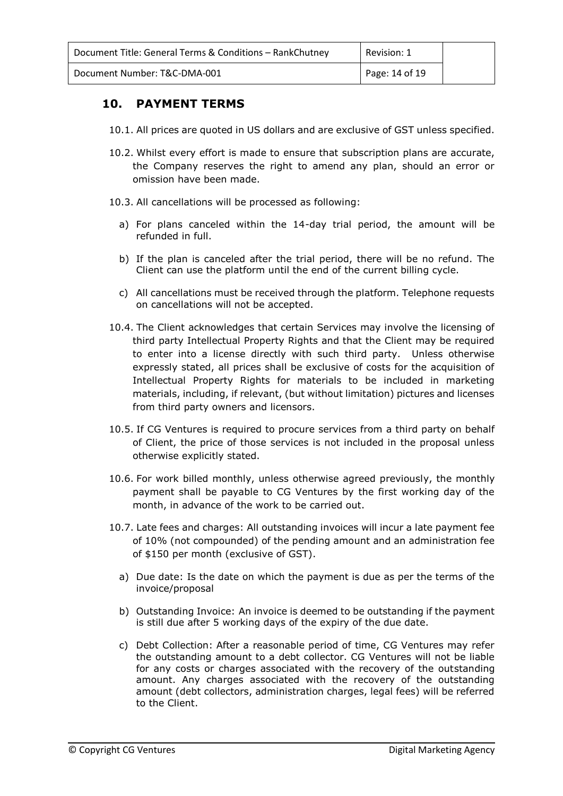| Document Title: General Terms & Conditions – RankChutney | Revision: 1    |
|----------------------------------------------------------|----------------|
| Document Number: T&C-DMA-001                             | Page: 14 of 19 |

#### <span id="page-13-0"></span>**10. PAYMENT TERMS**

- 10.1. All prices are quoted in US dollars and are exclusive of GST unless specified.
- 10.2. Whilst every effort is made to ensure that subscription plans are accurate, the Company reserves the right to amend any plan, should an error or omission have been made.
- 10.3. All cancellations will be processed as following:
	- a) For plans canceled within the 14-day trial period, the amount will be refunded in full.
	- b) If the plan is canceled after the trial period, there will be no refund. The Client can use the platform until the end of the current billing cycle.
	- c) All cancellations must be received through the platform. Telephone requests on cancellations will not be accepted.
- 10.4. The Client acknowledges that certain Services may involve the licensing of third party Intellectual Property Rights and that the Client may be required to enter into a license directly with such third party. Unless otherwise expressly stated, all prices shall be exclusive of costs for the acquisition of Intellectual Property Rights for materials to be included in marketing materials, including, if relevant, (but without limitation) pictures and licenses from third party owners and licensors.
- 10.5. If CG Ventures is required to procure services from a third party on behalf of Client, the price of those services is not included in the proposal unless otherwise explicitly stated.
- 10.6. For work billed monthly, unless otherwise agreed previously, the monthly payment shall be payable to CG Ventures by the first working day of the month, in advance of the work to be carried out.
- 10.7. Late fees and charges: All outstanding invoices will incur a late payment fee of 10% (not compounded) of the pending amount and an administration fee of \$150 per month (exclusive of GST).
	- a) Due date: Is the date on which the payment is due as per the terms of the invoice/proposal
	- b) Outstanding Invoice: An invoice is deemed to be outstanding if the payment is still due after 5 working days of the expiry of the due date.
	- c) Debt Collection: After a reasonable period of time, CG Ventures may refer the outstanding amount to a debt collector. CG Ventures will not be liable for any costs or charges associated with the recovery of the outstanding amount. Any charges associated with the recovery of the outstanding amount (debt collectors, administration charges, legal fees) will be referred to the Client.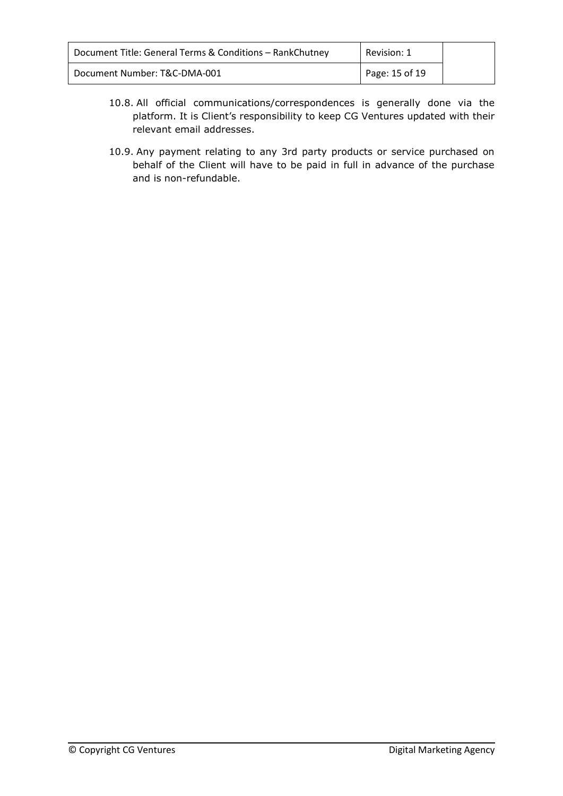| Document Title: General Terms & Conditions - RankChutney | Revision: 1    |
|----------------------------------------------------------|----------------|
| Document Number: T&C-DMA-001                             | Page: 15 of 19 |

- 10.8. All official communications/correspondences is generally done via the platform. It is Client's responsibility to keep CG Ventures updated with their relevant email addresses.
- 10.9. Any payment relating to any 3rd party products or service purchased on behalf of the Client will have to be paid in full in advance of the purchase and is non-refundable.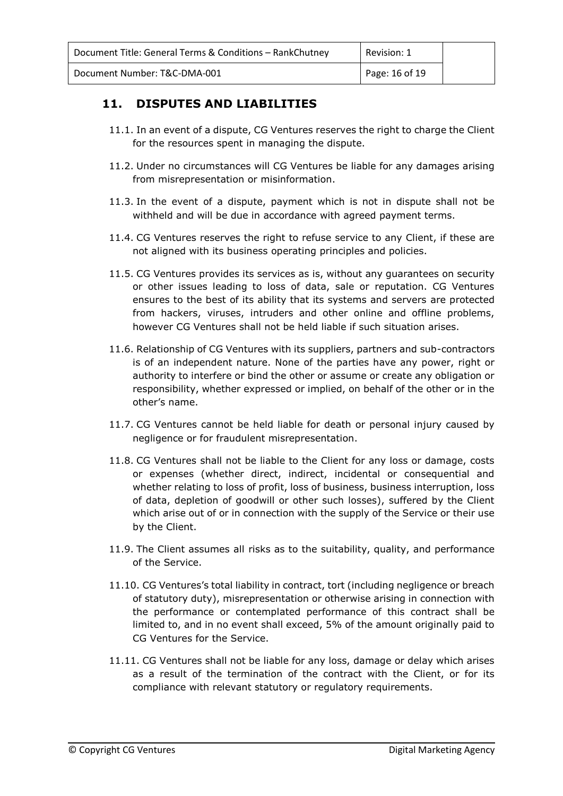| Document Title: General Terms & Conditions – RankChutney | Revision: 1    |
|----------------------------------------------------------|----------------|
| Document Number: T&C-DMA-001                             | Page: 16 of 19 |

## <span id="page-15-0"></span>**11. DISPUTES AND LIABILITIES**

- 11.1. In an event of a dispute, CG Ventures reserves the right to charge the Client for the resources spent in managing the dispute.
- 11.2. Under no circumstances will CG Ventures be liable for any damages arising from misrepresentation or misinformation.
- 11.3. In the event of a dispute, payment which is not in dispute shall not be withheld and will be due in accordance with agreed payment terms.
- 11.4. CG Ventures reserves the right to refuse service to any Client, if these are not aligned with its business operating principles and policies.
- 11.5. CG Ventures provides its services as is, without any guarantees on security or other issues leading to loss of data, sale or reputation. CG Ventures ensures to the best of its ability that its systems and servers are protected from hackers, viruses, intruders and other online and offline problems, however CG Ventures shall not be held liable if such situation arises.
- 11.6. Relationship of CG Ventures with its suppliers, partners and sub-contractors is of an independent nature. None of the parties have any power, right or authority to interfere or bind the other or assume or create any obligation or responsibility, whether expressed or implied, on behalf of the other or in the other's name.
- 11.7. CG Ventures cannot be held liable for death or personal injury caused by negligence or for fraudulent misrepresentation.
- 11.8. CG Ventures shall not be liable to the Client for any loss or damage, costs or expenses (whether direct, indirect, incidental or consequential and whether relating to loss of profit, loss of business, business interruption, loss of data, depletion of goodwill or other such losses), suffered by the Client which arise out of or in connection with the supply of the Service or their use by the Client.
- 11.9. The Client assumes all risks as to the suitability, quality, and performance of the Service.
- 11.10. CG Ventures's total liability in contract, tort (including negligence or breach of statutory duty), misrepresentation or otherwise arising in connection with the performance or contemplated performance of this contract shall be limited to, and in no event shall exceed, 5% of the amount originally paid to CG Ventures for the Service.
- 11.11. CG Ventures shall not be liable for any loss, damage or delay which arises as a result of the termination of the contract with the Client, or for its compliance with relevant statutory or regulatory requirements.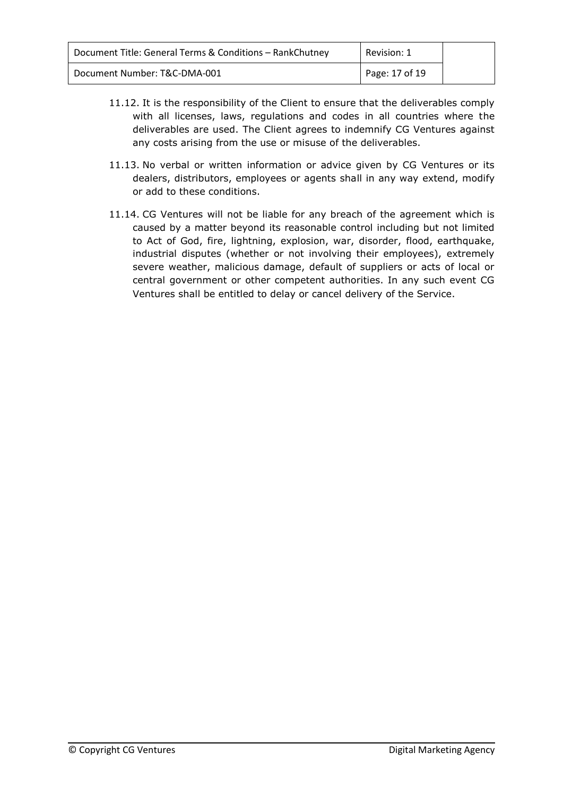| Document Title: General Terms & Conditions – RankChutney | Revision: 1    |
|----------------------------------------------------------|----------------|
| Document Number: T&C-DMA-001                             | Page: 17 of 19 |

- 11.12. It is the responsibility of the Client to ensure that the deliverables comply with all licenses, laws, regulations and codes in all countries where the deliverables are used. The Client agrees to indemnify CG Ventures against any costs arising from the use or misuse of the deliverables.
- 11.13. No verbal or written information or advice given by CG Ventures or its dealers, distributors, employees or agents shall in any way extend, modify or add to these conditions.
- 11.14. CG Ventures will not be liable for any breach of the agreement which is caused by a matter beyond its reasonable control including but not limited to Act of God, fire, lightning, explosion, war, disorder, flood, earthquake, industrial disputes (whether or not involving their employees), extremely severe weather, malicious damage, default of suppliers or acts of local or central government or other competent authorities. In any such event CG Ventures shall be entitled to delay or cancel delivery of the Service.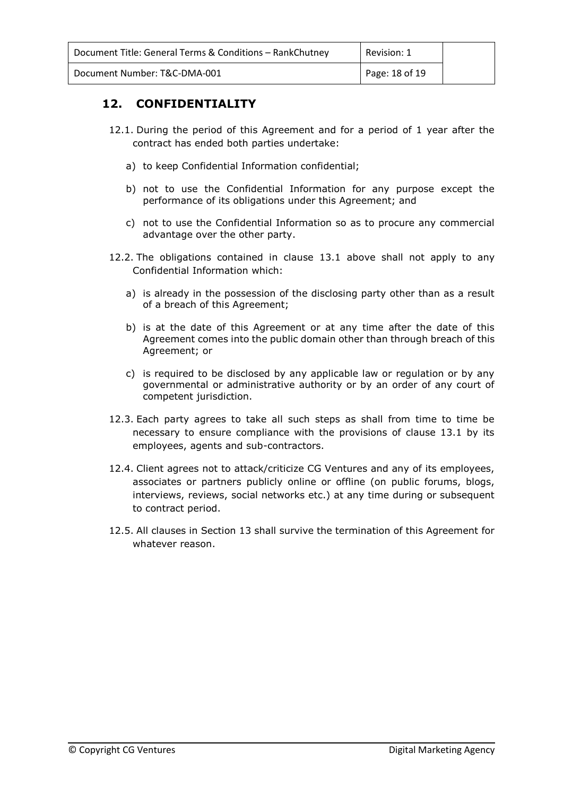| Document Title: General Terms & Conditions – RankChutney | Revision: 1    |
|----------------------------------------------------------|----------------|
| Document Number: T&C-DMA-001                             | Page: 18 of 19 |

#### <span id="page-17-0"></span>**12. CONFIDENTIALITY**

- 12.1. During the period of this Agreement and for a period of 1 year after the contract has ended both parties undertake:
	- a) to keep Confidential Information confidential;
	- b) not to use the Confidential Information for any purpose except the performance of its obligations under this Agreement; and
	- c) not to use the Confidential Information so as to procure any commercial advantage over the other party.
- 12.2. The obligations contained in clause 13.1 above shall not apply to any Confidential Information which:
	- a) is already in the possession of the disclosing party other than as a result of a breach of this Agreement;
	- b) is at the date of this Agreement or at any time after the date of this Agreement comes into the public domain other than through breach of this Agreement; or
	- c) is required to be disclosed by any applicable law or regulation or by any governmental or administrative authority or by an order of any court of competent jurisdiction.
- 12.3. Each party agrees to take all such steps as shall from time to time be necessary to ensure compliance with the provisions of clause 13.1 by its employees, agents and sub-contractors.
- 12.4. Client agrees not to attack/criticize CG Ventures and any of its employees, associates or partners publicly online or offline (on public forums, blogs, interviews, reviews, social networks etc.) at any time during or subsequent to contract period.
- 12.5. All clauses in Section 13 shall survive the termination of this Agreement for whatever reason.